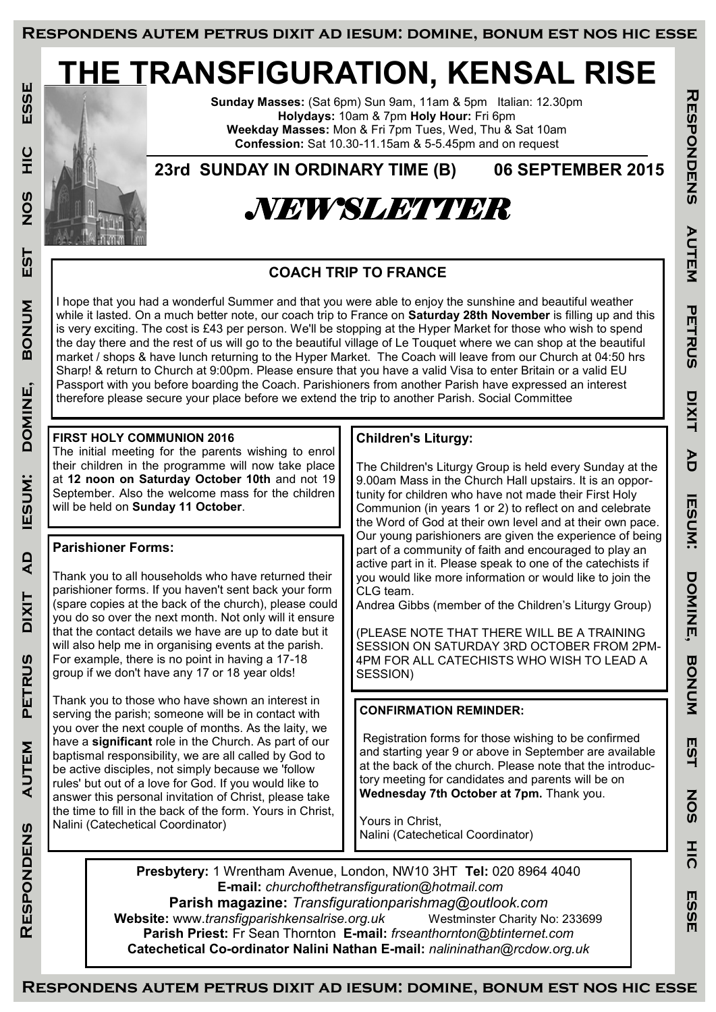# **THE TRANSFIGURATION, KENSAL RISE**

**Sunday Masses:** (Sat 6pm) Sun 9am, 11am & 5pm Italian: 12.30pm **Holydays:** 10am & 7pm **Holy Hour:** Fri 6pm **Weekday Masses:** Mon & Fri 7pm Tues, Wed, Thu & Sat 10am **Confession:** Sat 10.30-11.15am & 5-5.45pm and on request

**23rd SUNDAY IN ORDINARY TIME (B) 06 SEPTEMBER 2015**



# **COACH TRIP TO FRANCE**

I hope that you had a wonderful Summer and that you were able to enjoy the sunshine and beautiful weather while it lasted. On a much better note, our coach trip to France on **Saturday 28th November** is filling up and this is very exciting. The cost is £43 per person. We'll be stopping at the Hyper Market for those who wish to spend the day there and the rest of us will go to the beautiful village of Le Touquet where we can shop at the beautiful market / shops & have lunch returning to the Hyper Market. The Coach will leave from our Church at 04:50 hrs Sharp! & return to Church at 9:00pm. Please ensure that you have a valid Visa to enter Britain or a valid EU Passport with you before boarding the Coach. Parishioners from another Parish have expressed an interest therefore please secure your place before we extend the trip to another Parish. Social Committee

## **FIRST HOLY COMMUNION 2016**

The initial meeting for the parents wishing to enrol their children in the programme will now take place at **12 noon on Saturday October 10th** and not 19 September. Also the welcome mass for the children will be held on **Sunday 11 October**.

## **Parishioner Forms:**

Thank you to all households who have returned their parishioner forms. If you haven't sent back your form (spare copies at the back of the church), please could you do so over the next month. Not only will it ensure that the contact details we have are up to date but it will also help me in organising events at the parish. For example, there is no point in having a 17-18 group if we don't have any 17 or 18 year olds!

Thank you to those who have shown an interest in serving the parish; someone will be in contact with you over the next couple of months. As the laity, we have a **significant** role in the Church. As part of our baptismal responsibility, we are all called by God to be active disciples, not simply because we 'follow rules' but out of a love for God. If you would like to answer this personal invitation of Christ, please take the time to fill in the back of the form. Yours in Christ, Nalini (Catechetical Coordinator)

## **Children's Liturgy:**

The Children's Liturgy Group is held every Sunday at the 9.00am Mass in the Church Hall upstairs. It is an opportunity for children who have not made their First Holy Communion (in years 1 or 2) to reflect on and celebrate the Word of God at their own level and at their own pace. Our young parishioners are given the experience of being part of a community of faith and encouraged to play an active part in it. Please speak to one of the catechists if you would like more information or would like to join the CLG team.

**Respondens autem petrus dixit ad iesum: domine, bonum est nos hic esse**

**IESUM:** 

DONINE,

**BONUM** 

EST

SON

 $rac{1}{20}$ 

ESSE

**THUPONDENS** 

AUTEM

**PETRUS** 

**DIXIT** 

PD

Andrea Gibbs (member of the Children's Liturgy Group)

(PLEASE NOTE THAT THERE WILL BE A TRAINING SESSION ON SATURDAY 3RD OCTOBER FROM 2PM-4PM FOR ALL CATECHISTS WHO WISH TO LEAD A SESSION)

## **CONFIRMATION REMINDER:**

Registration forms for those wishing to be confirmed and starting year 9 or above in September are available at the back of the church. Please note that the introductory meeting for candidates and parents will be on **Wednesday 7th October at 7pm.** Thank you.

Yours in Christ, Nalini (Catechetical Coordinator)

**Presbytery:** 1 Wrentham Avenue, London, NW10 3HT **Tel:** 020 8964 4040 **E-mail:** *churchofthetransfiguration@hotmail.com*  **Parish magazine:** *Transfigurationparishmag@outlook.com* **Website:** www.*transfigparishkensalrise.org.uk* Westminster Charity No: 233699 **Parish Priest:** Fr Sean Thornton **E-mail:** *frseanthornton@btinternet.com*  **Catechetical Co-ordinator Nalini Nathan E-mail:** *nalininathan@rcdow.org.uk*